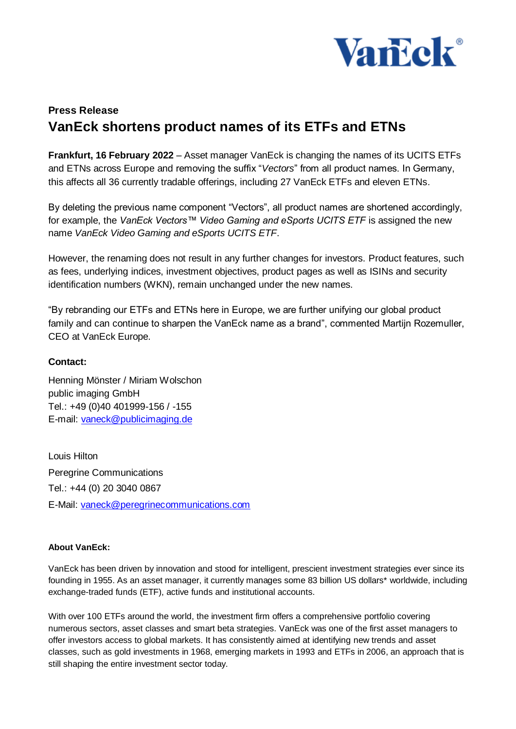

## **Press Release VanEck shortens product names of its ETFs and ETNs**

**Frankfurt, 16 February 2022** – Asset manager VanEck is changing the names of its UCITS ETFs and ETNs across Europe and removing the suffix "*Vectors*" from all product names. In Germany, this affects all 36 currently tradable offerings, including 27 VanEck ETFs and eleven ETNs*.*

By deleting the previous name component "Vectors", all product names are shortened accordingly, for example, the *VanEck Vectors™ Video Gaming and eSports UCITS ETF* is assigned the new name *VanEck Video Gaming and eSports UCITS ETF*.

However, the renaming does not result in any further changes for investors. Product features, such as fees, underlying indices, investment objectives, product pages as well as ISINs and security identification numbers (WKN), remain unchanged under the new names.

"By rebranding our ETFs and ETNs here in Europe, we are further unifying our global product family and can continue to sharpen the VanEck name as a brand", commented Martijn Rozemuller, CEO at VanEck Europe.

## **Contact:**

Henning Mönster / Miriam Wolschon public imaging GmbH Tel.: +49 (0)40 401999-156 / -155 E-mail: [vaneck@publicimaging.de](mailto:vaneck@publicimaging.de)

Louis Hilton Peregrine Communications Tel.: +44 (0) 20 3040 0867 E-Mail: [vaneck@peregrinecommunications.com](mailto:vaneck@peregrinecommunications.com)

## **About VanEck:**

VanEck has been driven by innovation and stood for intelligent, prescient investment strategies ever since its founding in 1955. As an asset manager, it currently manages some 83 billion US dollars\* worldwide, including exchange-traded funds (ETF), active funds and institutional accounts.

With over 100 ETFs around the world, the investment firm offers a comprehensive portfolio covering numerous sectors, asset classes and smart beta strategies. VanEck was one of the first asset managers to offer investors access to global markets. It has consistently aimed at identifying new trends and asset classes, such as gold investments in 1968, emerging markets in 1993 and ETFs in 2006, an approach that is still shaping the entire investment sector today.